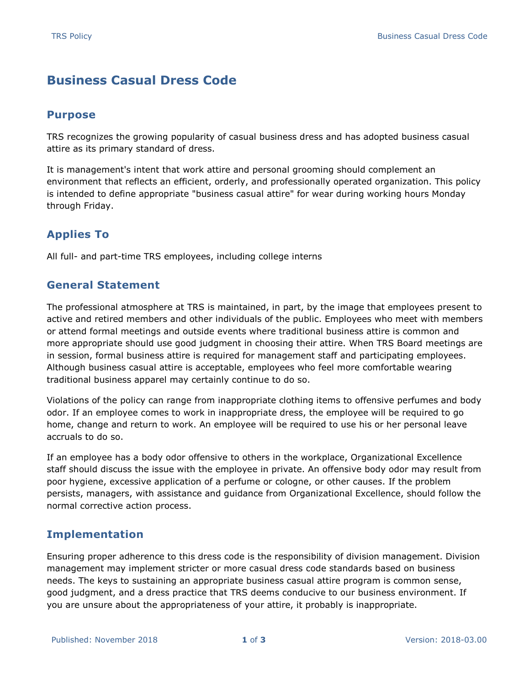# **Business Casual Dress Code**

### **Purpose**

TRS recognizes the growing popularity of casual business dress and has adopted business casual attire as its primary standard of dress.

It is management's intent that work attire and personal grooming should complement an environment that reflects an efficient, orderly, and professionally operated organization. This policy is intended to define appropriate "business casual attire" for wear during working hours Monday through Friday.

## **Applies To**

All full- and part-time TRS employees, including college interns

## **General Statement**

The professional atmosphere at TRS is maintained, in part, by the image that employees present to active and retired members and other individuals of the public. Employees who meet with members or attend formal meetings and outside events where traditional business attire is common and more appropriate should use good judgment in choosing their attire. When TRS Board meetings are in session, formal business attire is required for management staff and participating employees. Although business casual attire is acceptable, employees who feel more comfortable wearing traditional business apparel may certainly continue to do so.

Violations of the policy can range from inappropriate clothing items to offensive perfumes and body odor. If an employee comes to work in inappropriate dress, the employee will be required to go home, change and return to work. An employee will be required to use his or her personal leave accruals to do so.

If an employee has a body odor offensive to others in the workplace, Organizational Excellence staff should discuss the issue with the employee in private. An offensive body odor may result from poor hygiene, excessive application of a perfume or cologne, or other causes. If the problem persists, managers, with assistance and guidance from Organizational Excellence, should follow the normal corrective action process.

#### **Implementation**

Ensuring proper adherence to this dress code is the responsibility of division management. Division management may implement stricter or more casual dress code standards based on business needs. The keys to sustaining an appropriate business casual attire program is common sense, good judgment, and a dress practice that TRS deems conducive to our business environment. If you are unsure about the appropriateness of your attire, it probably is inappropriate.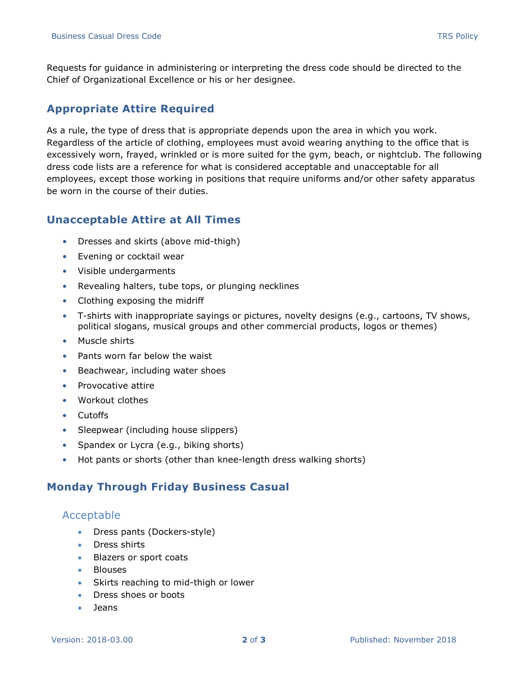Requests for guidance in administering or interpreting the dress code should be directed to the Chief of Organizational Excellence or his or her designee.

## **Appropriate Attire Required**

As a rule, the type of dress that is appropriate depends upon the area in which you work. Regardless of the article of clothing, employees must avoid wearing anything to the office that is excessively worn, frayed, wrinkled or is more suited for the gym, beach, or nightclub. The following dress code lists are a reference for what is considered acceptable and unacceptable for all employees, except those working in positions that require uniforms and/or other safety apparatus be worn in the course of their duties.

#### **Unacceptable Attire at All Times**

- Dresses and skirts (above mid-thigh)
- Evening or cocktail wear
- Visible undergarments
- Revealing halters, tube tops, or plunging necklines
- Clothing exposing the midriff
- T-shirts with inappropriate sayings or pictures, novelty designs (e.g., cartoons, TV shows, political slogans, musical groups and other commercial products, logos or themes)
- Muscle shirts
- Pants worn far below the waist
- Beachwear, including water shoes
- Provocative attire
- Workout clothes
- Cutoffs
- Sleepwear (including house slippers)
- Spandex or Lycra (e.g., biking shorts)
- Hot pants or shorts (other than knee-length dress walking shorts)

#### **Monday Through Friday Business Casual**

#### Acceptable

- Dress pants (Dockers-style)
- Dress shirts
- Blazers or sport coats
- Blouses
- Skirts reaching to mid-thigh or lower
- Dress shoes or boots
- Jeans